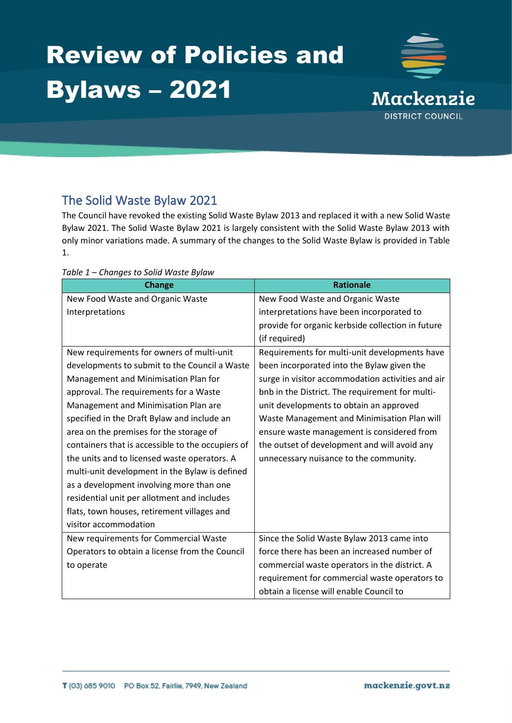# Review of Policies and Bylaws – 2021



## The Solid Waste Bylaw 2021

The Council have revoked the existing Solid Waste Bylaw 2013 and replaced it with a new Solid Waste Bylaw 2021. The Solid Waste Bylaw 2021 is largely consistent with the Solid Waste Bylaw 2013 with only minor variations made. A summary of the changes to the Solid Waste Bylaw is provided in Table 1.

| <b>Change</b>                                     | <b>Rationale</b>                                  |
|---------------------------------------------------|---------------------------------------------------|
| New Food Waste and Organic Waste                  | New Food Waste and Organic Waste                  |
| Interpretations                                   | interpretations have been incorporated to         |
|                                                   | provide for organic kerbside collection in future |
|                                                   | (if required)                                     |
| New requirements for owners of multi-unit         | Requirements for multi-unit developments have     |
| developments to submit to the Council a Waste     | been incorporated into the Bylaw given the        |
| Management and Minimisation Plan for              | surge in visitor accommodation activities and air |
| approval. The requirements for a Waste            | bnb in the District. The requirement for multi-   |
| Management and Minimisation Plan are              | unit developments to obtain an approved           |
| specified in the Draft Bylaw and include an       | Waste Management and Minimisation Plan will       |
| area on the premises for the storage of           | ensure waste management is considered from        |
| containers that is accessible to the occupiers of | the outset of development and will avoid any      |
| the units and to licensed waste operators. A      | unnecessary nuisance to the community.            |
| multi-unit development in the Bylaw is defined    |                                                   |
| as a development involving more than one          |                                                   |
| residential unit per allotment and includes       |                                                   |
| flats, town houses, retirement villages and       |                                                   |
| visitor accommodation                             |                                                   |
| New requirements for Commercial Waste             | Since the Solid Waste Bylaw 2013 came into        |
| Operators to obtain a license from the Council    | force there has been an increased number of       |
| to operate                                        | commercial waste operators in the district. A     |
|                                                   | requirement for commercial waste operators to     |
|                                                   | obtain a license will enable Council to           |

*Table 1 – Changes to Solid Waste Bylaw*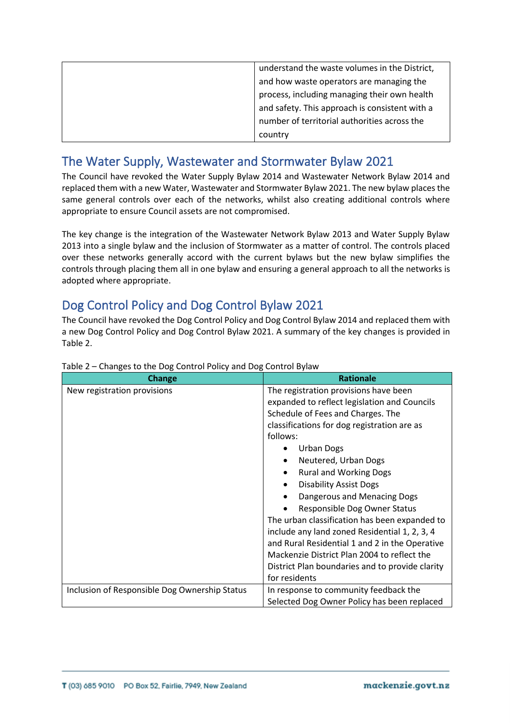| understand the waste volumes in the District,  |
|------------------------------------------------|
| and how waste operators are managing the       |
| process, including managing their own health   |
| and safety. This approach is consistent with a |
| number of territorial authorities across the   |
| country                                        |

#### The Water Supply, Wastewater and Stormwater Bylaw 2021

The Council have revoked the Water Supply Bylaw 2014 and Wastewater Network Bylaw 2014 and replaced them with a new Water, Wastewater and Stormwater Bylaw 2021. The new bylaw places the same general controls over each of the networks, whilst also creating additional controls where appropriate to ensure Council assets are not compromised.

The key change is the integration of the Wastewater Network Bylaw 2013 and Water Supply Bylaw 2013 into a single bylaw and the inclusion of Stormwater as a matter of control. The controls placed over these networks generally accord with the current bylaws but the new bylaw simplifies the controls through placing them all in one bylaw and ensuring a general approach to all the networks is adopted where appropriate.

#### Dog Control Policy and Dog Control Bylaw 2021

The Council have revoked the Dog Control Policy and Dog Control Bylaw 2014 and replaced them with a new Dog Control Policy and Dog Control Bylaw 2021. A summary of the key changes is provided in Table 2.

| Change                                        | <b>Rationale</b>                                |
|-----------------------------------------------|-------------------------------------------------|
| New registration provisions                   | The registration provisions have been           |
|                                               | expanded to reflect legislation and Councils    |
|                                               | Schedule of Fees and Charges. The               |
|                                               | classifications for dog registration are as     |
|                                               | follows:                                        |
|                                               | <b>Urban Dogs</b>                               |
|                                               | Neutered, Urban Dogs                            |
|                                               | <b>Rural and Working Dogs</b>                   |
|                                               | <b>Disability Assist Dogs</b>                   |
|                                               | Dangerous and Menacing Dogs                     |
|                                               | Responsible Dog Owner Status                    |
|                                               | The urban classification has been expanded to   |
|                                               | include any land zoned Residential 1, 2, 3, 4   |
|                                               | and Rural Residential 1 and 2 in the Operative  |
|                                               | Mackenzie District Plan 2004 to reflect the     |
|                                               | District Plan boundaries and to provide clarity |
|                                               | for residents                                   |
| Inclusion of Responsible Dog Ownership Status | In response to community feedback the           |
|                                               | Selected Dog Owner Policy has been replaced     |

#### Table 2 – Changes to the Dog Control Policy and Dog Control Bylaw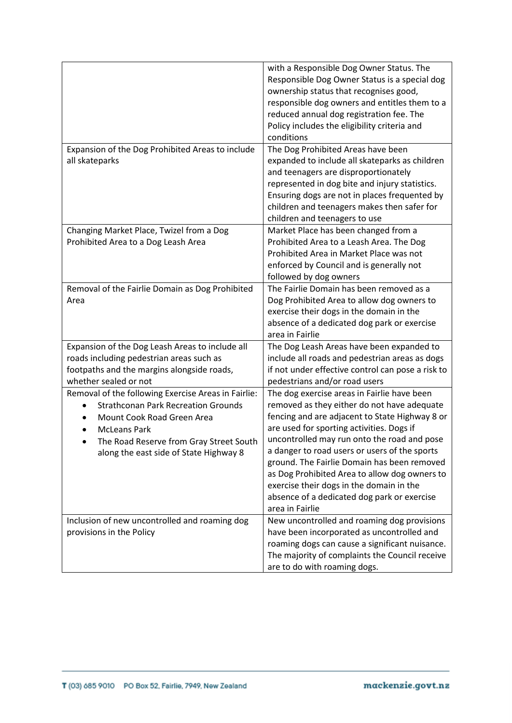|                                                                                                                                                                                                                                             | with a Responsible Dog Owner Status. The<br>Responsible Dog Owner Status is a special dog<br>ownership status that recognises good,<br>responsible dog owners and entitles them to a<br>reduced annual dog registration fee. The<br>Policy includes the eligibility criteria and<br>conditions                                                                                                                                                                                                          |
|---------------------------------------------------------------------------------------------------------------------------------------------------------------------------------------------------------------------------------------------|---------------------------------------------------------------------------------------------------------------------------------------------------------------------------------------------------------------------------------------------------------------------------------------------------------------------------------------------------------------------------------------------------------------------------------------------------------------------------------------------------------|
| Expansion of the Dog Prohibited Areas to include<br>all skateparks                                                                                                                                                                          | The Dog Prohibited Areas have been<br>expanded to include all skateparks as children<br>and teenagers are disproportionately<br>represented in dog bite and injury statistics.<br>Ensuring dogs are not in places frequented by<br>children and teenagers makes then safer for<br>children and teenagers to use                                                                                                                                                                                         |
| Changing Market Place, Twizel from a Dog<br>Prohibited Area to a Dog Leash Area                                                                                                                                                             | Market Place has been changed from a<br>Prohibited Area to a Leash Area. The Dog<br>Prohibited Area in Market Place was not<br>enforced by Council and is generally not<br>followed by dog owners                                                                                                                                                                                                                                                                                                       |
| Removal of the Fairlie Domain as Dog Prohibited<br>Area                                                                                                                                                                                     | The Fairlie Domain has been removed as a<br>Dog Prohibited Area to allow dog owners to<br>exercise their dogs in the domain in the<br>absence of a dedicated dog park or exercise<br>area in Fairlie                                                                                                                                                                                                                                                                                                    |
| Expansion of the Dog Leash Areas to include all<br>roads including pedestrian areas such as<br>footpaths and the margins alongside roads,<br>whether sealed or not                                                                          | The Dog Leash Areas have been expanded to<br>include all roads and pedestrian areas as dogs<br>if not under effective control can pose a risk to<br>pedestrians and/or road users                                                                                                                                                                                                                                                                                                                       |
| Removal of the following Exercise Areas in Fairlie:<br><b>Strathconan Park Recreation Grounds</b><br>Mount Cook Road Green Area<br><b>McLeans Park</b><br>The Road Reserve from Gray Street South<br>along the east side of State Highway 8 | The dog exercise areas in Fairlie have been<br>removed as they either do not have adequate<br>fencing and are adjacent to State Highway 8 or<br>are used for sporting activities. Dogs if<br>uncontrolled may run onto the road and pose<br>a danger to road users or users of the sports<br>ground. The Fairlie Domain has been removed<br>as Dog Prohibited Area to allow dog owners to<br>exercise their dogs in the domain in the<br>absence of a dedicated dog park or exercise<br>area in Fairlie |
| Inclusion of new uncontrolled and roaming dog<br>provisions in the Policy                                                                                                                                                                   | New uncontrolled and roaming dog provisions<br>have been incorporated as uncontrolled and<br>roaming dogs can cause a significant nuisance.<br>The majority of complaints the Council receive<br>are to do with roaming dogs.                                                                                                                                                                                                                                                                           |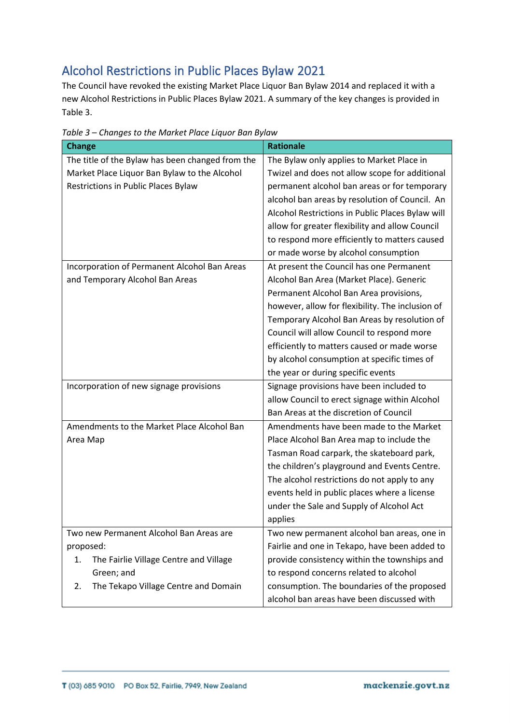# Alcohol Restrictions in Public Places Bylaw 2021

The Council have revoked the existing Market Place Liquor Ban Bylaw 2014 and replaced it with a new Alcohol Restrictions in Public Places Bylaw 2021. A summary of the key changes is provided in Table 3.

| <b>Change</b>                                    | <b>Rationale</b>                                 |
|--------------------------------------------------|--------------------------------------------------|
| The title of the Bylaw has been changed from the | The Bylaw only applies to Market Place in        |
| Market Place Liquor Ban Bylaw to the Alcohol     | Twizel and does not allow scope for additional   |
| <b>Restrictions in Public Places Bylaw</b>       | permanent alcohol ban areas or for temporary     |
|                                                  | alcohol ban areas by resolution of Council. An   |
|                                                  | Alcohol Restrictions in Public Places Bylaw will |
|                                                  | allow for greater flexibility and allow Council  |
|                                                  | to respond more efficiently to matters caused    |
|                                                  | or made worse by alcohol consumption             |
| Incorporation of Permanent Alcohol Ban Areas     | At present the Council has one Permanent         |
| and Temporary Alcohol Ban Areas                  | Alcohol Ban Area (Market Place). Generic         |
|                                                  | Permanent Alcohol Ban Area provisions,           |
|                                                  | however, allow for flexibility. The inclusion of |
|                                                  | Temporary Alcohol Ban Areas by resolution of     |
|                                                  | Council will allow Council to respond more       |
|                                                  | efficiently to matters caused or made worse      |
|                                                  | by alcohol consumption at specific times of      |
|                                                  | the year or during specific events               |
| Incorporation of new signage provisions          | Signage provisions have been included to         |
|                                                  | allow Council to erect signage within Alcohol    |
|                                                  | Ban Areas at the discretion of Council           |
| Amendments to the Market Place Alcohol Ban       | Amendments have been made to the Market          |
| Area Map                                         | Place Alcohol Ban Area map to include the        |
|                                                  | Tasman Road carpark, the skateboard park,        |
|                                                  | the children's playground and Events Centre.     |
|                                                  | The alcohol restrictions do not apply to any     |
|                                                  | events held in public places where a license     |
|                                                  | under the Sale and Supply of Alcohol Act         |
|                                                  | applies                                          |
| Two new Permanent Alcohol Ban Areas are          | Two new permanent alcohol ban areas, one in      |
| proposed:                                        | Fairlie and one in Tekapo, have been added to    |
| The Fairlie Village Centre and Village<br>1.     | provide consistency within the townships and     |
| Green; and                                       | to respond concerns related to alcohol           |
| The Tekapo Village Centre and Domain<br>2.       | consumption. The boundaries of the proposed      |
|                                                  | alcohol ban areas have been discussed with       |

*Table 3 – Changes to the Market Place Liquor Ban Bylaw*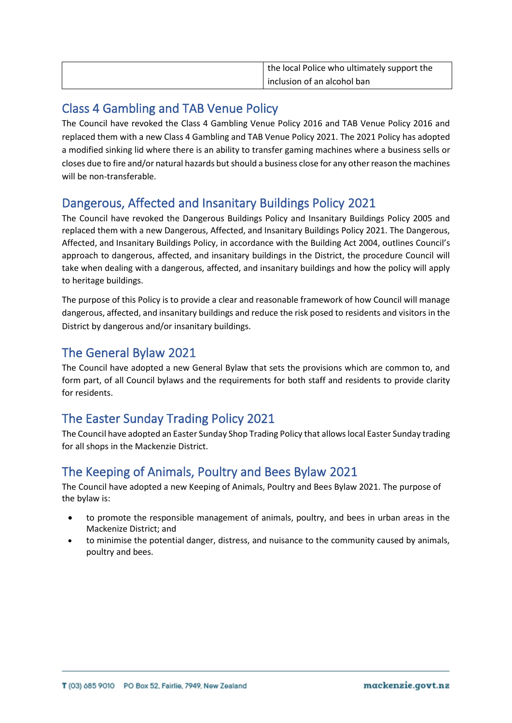| the local Police who ultimately support the |
|---------------------------------------------|
| inclusion of an alcohol ban                 |

#### Class 4 Gambling and TAB Venue Policy

The Council have revoked the Class 4 Gambling Venue Policy 2016 and TAB Venue Policy 2016 and replaced them with a new Class 4 Gambling and TAB Venue Policy 2021. The 2021 Policy has adopted a modified sinking lid where there is an ability to transfer gaming machines where a business sells or closes due to fire and/or natural hazards but should a business close for any other reason the machines will be non-transferable.

#### Dangerous, Affected and Insanitary Buildings Policy 2021

The Council have revoked the Dangerous Buildings Policy and Insanitary Buildings Policy 2005 and replaced them with a new Dangerous, Affected, and Insanitary Buildings Policy 2021. The Dangerous, Affected, and Insanitary Buildings Policy, in accordance with the Building Act 2004, outlines Council's approach to dangerous, affected, and insanitary buildings in the District, the procedure Council will take when dealing with a dangerous, affected, and insanitary buildings and how the policy will apply to heritage buildings.

The purpose of this Policy is to provide a clear and reasonable framework of how Council will manage dangerous, affected, and insanitary buildings and reduce the risk posed to residents and visitors in the District by dangerous and/or insanitary buildings.

#### The General Bylaw 2021

The Council have adopted a new General Bylaw that sets the provisions which are common to, and form part, of all Council bylaws and the requirements for both staff and residents to provide clarity for residents.

# The Easter Sunday Trading Policy 2021

The Council have adopted an Easter Sunday Shop Trading Policy that allows local Easter Sunday trading for all shops in the Mackenzie District.

### The Keeping of Animals, Poultry and Bees Bylaw 2021

The Council have adopted a new Keeping of Animals, Poultry and Bees Bylaw 2021. The purpose of the bylaw is:

- to promote the responsible management of animals, poultry, and bees in urban areas in the Mackenize District; and
- to minimise the potential danger, distress, and nuisance to the community caused by animals, poultry and bees.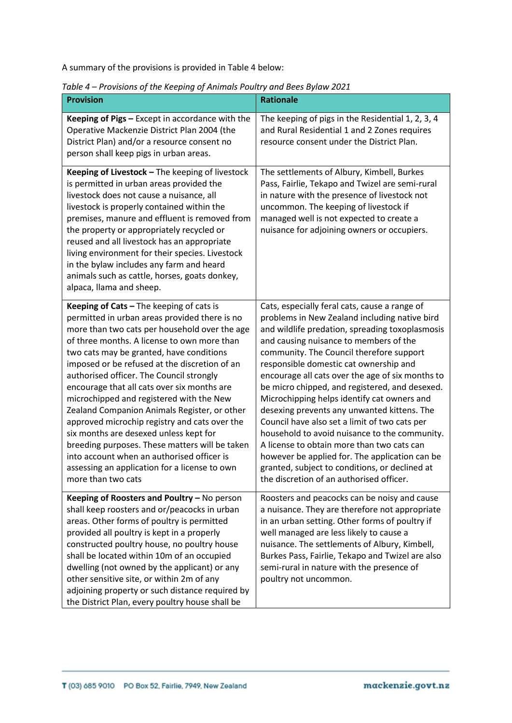A summary of the provisions is provided in Table 4 below:

| <b>Provision</b>                                                                                                                                                                                                                                                                                                                                                                                                                                                                                                                                                                                                                                                                                                                                | <b>Rationale</b>                                                                                                                                                                                                                                                                                                                                                                                                                                                                                                                                                                                                                                                                                                                                                                      |
|-------------------------------------------------------------------------------------------------------------------------------------------------------------------------------------------------------------------------------------------------------------------------------------------------------------------------------------------------------------------------------------------------------------------------------------------------------------------------------------------------------------------------------------------------------------------------------------------------------------------------------------------------------------------------------------------------------------------------------------------------|---------------------------------------------------------------------------------------------------------------------------------------------------------------------------------------------------------------------------------------------------------------------------------------------------------------------------------------------------------------------------------------------------------------------------------------------------------------------------------------------------------------------------------------------------------------------------------------------------------------------------------------------------------------------------------------------------------------------------------------------------------------------------------------|
| <b>Keeping of Pigs - Except in accordance with the</b><br>Operative Mackenzie District Plan 2004 (the<br>District Plan) and/or a resource consent no<br>person shall keep pigs in urban areas.                                                                                                                                                                                                                                                                                                                                                                                                                                                                                                                                                  | The keeping of pigs in the Residential 1, 2, 3, 4<br>and Rural Residential 1 and 2 Zones requires<br>resource consent under the District Plan.                                                                                                                                                                                                                                                                                                                                                                                                                                                                                                                                                                                                                                        |
| Keeping of Livestock - The keeping of livestock<br>is permitted in urban areas provided the<br>livestock does not cause a nuisance, all<br>livestock is properly contained within the<br>premises, manure and effluent is removed from<br>the property or appropriately recycled or<br>reused and all livestock has an appropriate<br>living environment for their species. Livestock<br>in the bylaw includes any farm and heard<br>animals such as cattle, horses, goats donkey,<br>alpaca, llama and sheep.                                                                                                                                                                                                                                  | The settlements of Albury, Kimbell, Burkes<br>Pass, Fairlie, Tekapo and Twizel are semi-rural<br>in nature with the presence of livestock not<br>uncommon. The keeping of livestock if<br>managed well is not expected to create a<br>nuisance for adjoining owners or occupiers.                                                                                                                                                                                                                                                                                                                                                                                                                                                                                                     |
| Keeping of Cats - The keeping of cats is<br>permitted in urban areas provided there is no<br>more than two cats per household over the age<br>of three months. A license to own more than<br>two cats may be granted, have conditions<br>imposed or be refused at the discretion of an<br>authorised officer. The Council strongly<br>encourage that all cats over six months are<br>microchipped and registered with the New<br>Zealand Companion Animals Register, or other<br>approved microchip registry and cats over the<br>six months are desexed unless kept for<br>breeding purposes. These matters will be taken<br>into account when an authorised officer is<br>assessing an application for a license to own<br>more than two cats | Cats, especially feral cats, cause a range of<br>problems in New Zealand including native bird<br>and wildlife predation, spreading toxoplasmosis<br>and causing nuisance to members of the<br>community. The Council therefore support<br>responsible domestic cat ownership and<br>encourage all cats over the age of six months to<br>be micro chipped, and registered, and desexed.<br>Microchipping helps identify cat owners and<br>desexing prevents any unwanted kittens. The<br>Council have also set a limit of two cats per<br>household to avoid nuisance to the community.<br>A license to obtain more than two cats can<br>however be applied for. The application can be<br>granted, subject to conditions, or declined at<br>the discretion of an authorised officer. |
| Keeping of Roosters and Poultry - No person<br>shall keep roosters and or/peacocks in urban<br>areas. Other forms of poultry is permitted<br>provided all poultry is kept in a properly<br>constructed poultry house, no poultry house<br>shall be located within 10m of an occupied<br>dwelling (not owned by the applicant) or any<br>other sensitive site, or within 2m of any<br>adjoining property or such distance required by<br>the District Plan, every poultry house shall be                                                                                                                                                                                                                                                         | Roosters and peacocks can be noisy and cause<br>a nuisance. They are therefore not appropriate<br>in an urban setting. Other forms of poultry if<br>well managed are less likely to cause a<br>nuisance. The settlements of Albury, Kimbell,<br>Burkes Pass, Fairlie, Tekapo and Twizel are also<br>semi-rural in nature with the presence of<br>poultry not uncommon.                                                                                                                                                                                                                                                                                                                                                                                                                |

*Table 4 – Provisions of the Keeping of Animals Poultry and Bees Bylaw 2021*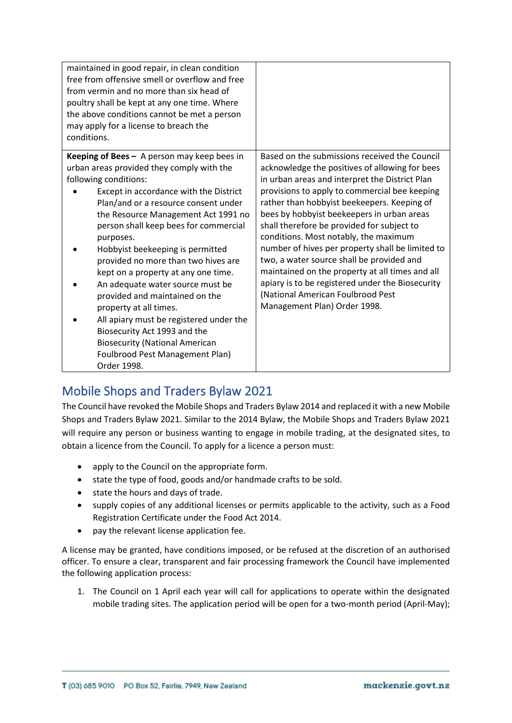| maintained in good repair, in clean condition<br>free from offensive smell or overflow and free<br>from vermin and no more than six head of<br>poultry shall be kept at any one time. Where<br>the above conditions cannot be met a person<br>may apply for a license to breach the<br>conditions.                                                                                                                                                                                                                                                                                                                                                                                                |                                                                                                                                                                                                                                                                                                                                                                                                                                                                                                                                                                                                                                                                     |
|---------------------------------------------------------------------------------------------------------------------------------------------------------------------------------------------------------------------------------------------------------------------------------------------------------------------------------------------------------------------------------------------------------------------------------------------------------------------------------------------------------------------------------------------------------------------------------------------------------------------------------------------------------------------------------------------------|---------------------------------------------------------------------------------------------------------------------------------------------------------------------------------------------------------------------------------------------------------------------------------------------------------------------------------------------------------------------------------------------------------------------------------------------------------------------------------------------------------------------------------------------------------------------------------------------------------------------------------------------------------------------|
| <b>Keeping of Bees</b> $-$ A person may keep bees in<br>urban areas provided they comply with the<br>following conditions:<br>Except in accordance with the District<br>Plan/and or a resource consent under<br>the Resource Management Act 1991 no<br>person shall keep bees for commercial<br>purposes.<br>Hobbyist beekeeping is permitted<br>provided no more than two hives are<br>kept on a property at any one time.<br>An adequate water source must be<br>provided and maintained on the<br>property at all times.<br>All apiary must be registered under the<br>Biosecurity Act 1993 and the<br><b>Biosecurity (National American</b><br>Foulbrood Pest Management Plan)<br>Order 1998. | Based on the submissions received the Council<br>acknowledge the positives of allowing for bees<br>in urban areas and interpret the District Plan<br>provisions to apply to commercial bee keeping<br>rather than hobbyist beekeepers. Keeping of<br>bees by hobbyist beekeepers in urban areas<br>shall therefore be provided for subject to<br>conditions. Most notably, the maximum<br>number of hives per property shall be limited to<br>two, a water source shall be provided and<br>maintained on the property at all times and all<br>apiary is to be registered under the Biosecurity<br>(National American Foulbrood Pest<br>Management Plan) Order 1998. |

### Mobile Shops and Traders Bylaw 2021

The Council have revoked the Mobile Shops and Traders Bylaw 2014 and replaced it with a new Mobile Shops and Traders Bylaw 2021. Similar to the 2014 Bylaw, the Mobile Shops and Traders Bylaw 2021 will require any person or business wanting to engage in mobile trading, at the designated sites, to obtain a licence from the Council. To apply for a licence a person must:

- apply to the Council on the appropriate form.
- state the type of food, goods and/or handmade crafts to be sold.
- state the hours and days of trade.
- supply copies of any additional licenses or permits applicable to the activity, such as a Food Registration Certificate under the Food Act 2014.
- pay the relevant license application fee.

A license may be granted, have conditions imposed, or be refused at the discretion of an authorised officer. To ensure a clear, transparent and fair processing framework the Council have implemented the following application process:

1. The Council on 1 April each year will call for applications to operate within the designated mobile trading sites. The application period will be open for a two-month period (April-May);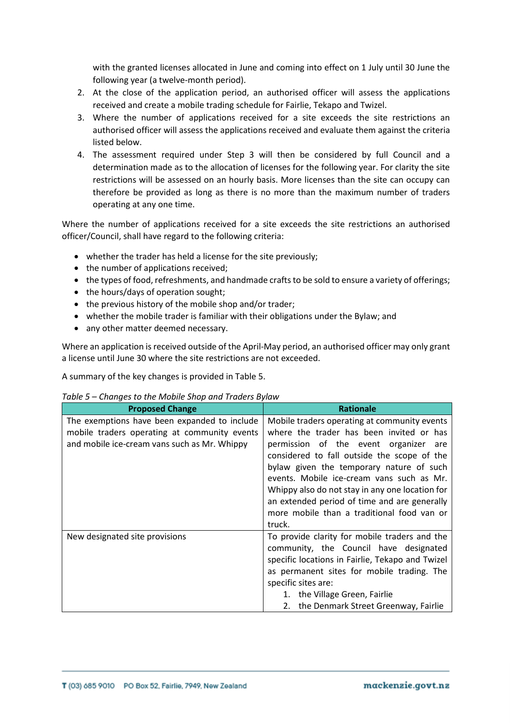with the granted licenses allocated in June and coming into effect on 1 July until 30 June the following year (a twelve-month period).

- 2. At the close of the application period, an authorised officer will assess the applications received and create a mobile trading schedule for Fairlie, Tekapo and Twizel.
- 3. Where the number of applications received for a site exceeds the site restrictions an authorised officer will assess the applications received and evaluate them against the criteria listed below.
- 4. The assessment required under Step 3 will then be considered by full Council and a determination made as to the allocation of licenses for the following year. For clarity the site restrictions will be assessed on an hourly basis. More licenses than the site can occupy can therefore be provided as long as there is no more than the maximum number of traders operating at any one time.

Where the number of applications received for a site exceeds the site restrictions an authorised officer/Council, shall have regard to the following criteria:

- whether the trader has held a license for the site previously;
- the number of applications received:
- the types of food, refreshments, and handmade crafts to be sold to ensure a variety of offerings;
- the hours/days of operation sought;
- the previous history of the mobile shop and/or trader;
- whether the mobile trader is familiar with their obligations under the Bylaw; and
- any other matter deemed necessary.

Where an application is received outside of the April-May period, an authorised officer may only grant a license until June 30 where the site restrictions are not exceeded.

A summary of the key changes is provided in Table 5.

| Table 5 – Changes to the Mobile Shop and Traders Bylaw |  |
|--------------------------------------------------------|--|
|--------------------------------------------------------|--|

| <b>Proposed Change</b>                       | <b>Rationale</b>                                 |
|----------------------------------------------|--------------------------------------------------|
| The exemptions have been expanded to include | Mobile traders operating at community events     |
| mobile traders operating at community events | where the trader has been invited or has         |
| and mobile ice-cream vans such as Mr. Whippy | permission of the event organizer are            |
|                                              | considered to fall outside the scope of the      |
|                                              | bylaw given the temporary nature of such         |
|                                              | events. Mobile ice-cream vans such as Mr.        |
|                                              | Whippy also do not stay in any one location for  |
|                                              | an extended period of time and are generally     |
|                                              | more mobile than a traditional food van or       |
|                                              | truck.                                           |
| New designated site provisions               | To provide clarity for mobile traders and the    |
|                                              | community, the Council have designated           |
|                                              | specific locations in Fairlie, Tekapo and Twizel |
|                                              | as permanent sites for mobile trading. The       |
|                                              | specific sites are:                              |
|                                              | 1. the Village Green, Fairlie                    |
|                                              | 2. the Denmark Street Greenway, Fairlie          |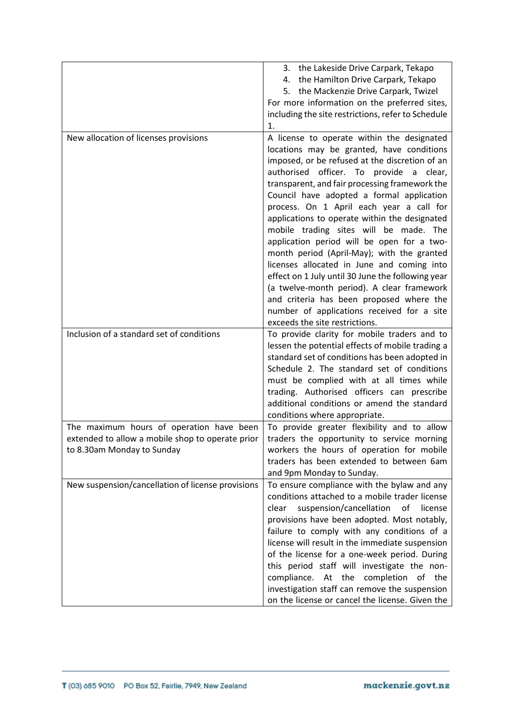|                                                   | 3. the Lakeside Drive Carpark, Tekapo              |
|---------------------------------------------------|----------------------------------------------------|
|                                                   | 4. the Hamilton Drive Carpark, Tekapo              |
|                                                   | 5. the Mackenzie Drive Carpark, Twizel             |
|                                                   |                                                    |
|                                                   | For more information on the preferred sites,       |
|                                                   | including the site restrictions, refer to Schedule |
|                                                   | 1.                                                 |
| New allocation of licenses provisions             | A license to operate within the designated         |
|                                                   | locations may be granted, have conditions          |
|                                                   | imposed, or be refused at the discretion of an     |
|                                                   | authorised officer. To provide a<br>clear,         |
|                                                   | transparent, and fair processing framework the     |
|                                                   | Council have adopted a formal application          |
|                                                   | process. On 1 April each year a call for           |
|                                                   | applications to operate within the designated      |
|                                                   | mobile trading sites will be made. The             |
|                                                   | application period will be open for a two-         |
|                                                   | month period (April-May); with the granted         |
|                                                   | licenses allocated in June and coming into         |
|                                                   | effect on 1 July until 30 June the following year  |
|                                                   | (a twelve-month period). A clear framework         |
|                                                   | and criteria has been proposed where the           |
|                                                   | number of applications received for a site         |
|                                                   | exceeds the site restrictions.                     |
| Inclusion of a standard set of conditions         | To provide clarity for mobile traders and to       |
|                                                   | lessen the potential effects of mobile trading a   |
|                                                   |                                                    |
|                                                   | standard set of conditions has been adopted in     |
|                                                   | Schedule 2. The standard set of conditions         |
|                                                   | must be complied with at all times while           |
|                                                   | trading. Authorised officers can prescribe         |
|                                                   | additional conditions or amend the standard        |
|                                                   | conditions where appropriate.                      |
| The maximum hours of operation have been          | To provide greater flexibility and to allow        |
| extended to allow a mobile shop to operate prior  | traders the opportunity to service morning         |
| to 8.30am Monday to Sunday                        | workers the hours of operation for mobile          |
|                                                   | traders has been extended to between 6am           |
|                                                   | and 9pm Monday to Sunday.                          |
| New suspension/cancellation of license provisions | To ensure compliance with the bylaw and any        |
|                                                   | conditions attached to a mobile trader license     |
|                                                   | suspension/cancellation<br>of<br>clear<br>license  |
|                                                   | provisions have been adopted. Most notably,        |
|                                                   | failure to comply with any conditions of a         |
|                                                   | license will result in the immediate suspension    |
|                                                   | of the license for a one-week period. During       |
|                                                   | this period staff will investigate the non-        |
|                                                   | compliance. At the completion of the               |
|                                                   | investigation staff can remove the suspension      |
|                                                   |                                                    |
|                                                   | on the license or cancel the license. Given the    |